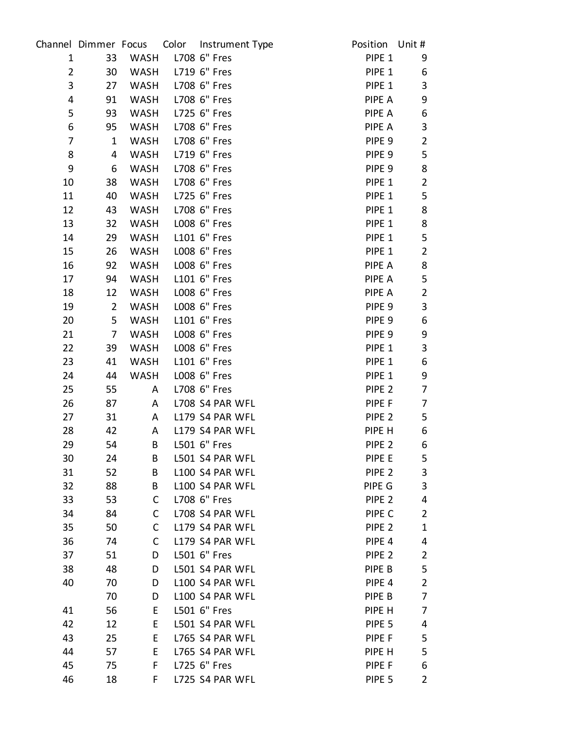| $\mathbf{1}$<br>33<br>WASH L708 6" Fres<br>PIPE 1<br>WASH L719 6" Fres<br>$\overline{2}$<br>30<br>PIPE 1<br>3<br>WASH L708 6" Fres<br>27<br>PIPE 1<br>WASH L708 6" Fres<br>4<br>PIPE A<br>91<br>5<br>93<br>WASH L725 6" Fres<br>PIPE A<br>6<br>L708 6" Fres<br>95<br>WASH<br>PIPE A<br>WASH L708 6" Fres<br>$\overline{7}$<br>$\mathbf{1}$<br>PIPE 9 | 9<br>6<br>3<br>9<br>6<br>3<br>$\overline{2}$<br>5<br>8<br>$\overline{2}$<br>5<br>8 |
|------------------------------------------------------------------------------------------------------------------------------------------------------------------------------------------------------------------------------------------------------------------------------------------------------------------------------------------------------|------------------------------------------------------------------------------------|
|                                                                                                                                                                                                                                                                                                                                                      |                                                                                    |
|                                                                                                                                                                                                                                                                                                                                                      |                                                                                    |
|                                                                                                                                                                                                                                                                                                                                                      |                                                                                    |
|                                                                                                                                                                                                                                                                                                                                                      |                                                                                    |
|                                                                                                                                                                                                                                                                                                                                                      |                                                                                    |
|                                                                                                                                                                                                                                                                                                                                                      |                                                                                    |
|                                                                                                                                                                                                                                                                                                                                                      |                                                                                    |
| WASH L719 6" Fres<br>8<br>$\overline{4}$<br>PIPE 9                                                                                                                                                                                                                                                                                                   |                                                                                    |
| 9<br>6<br>WASH L708 6" Fres<br>PIPE 9                                                                                                                                                                                                                                                                                                                |                                                                                    |
| L708 6" Fres<br>10<br>38<br>WASH<br>PIPE 1                                                                                                                                                                                                                                                                                                           |                                                                                    |
| WASH L725 6" Fres<br>11<br>40<br>PIPE 1                                                                                                                                                                                                                                                                                                              |                                                                                    |
| WASH L708 6" Fres<br>12<br>PIPE 1<br>43                                                                                                                                                                                                                                                                                                              |                                                                                    |
| WASH LOO8 6" Fres<br>13<br>32<br>PIPE 1                                                                                                                                                                                                                                                                                                              | 8                                                                                  |
| L101 6" Fres<br>29<br>WASH<br>PIPE 1<br>14                                                                                                                                                                                                                                                                                                           | 5                                                                                  |
| WASH LOO8 6" Fres<br>15<br>26<br>PIPE 1                                                                                                                                                                                                                                                                                                              | $\overline{2}$                                                                     |
| WASH LOO8 6" Fres<br>16<br>92<br>PIPE A                                                                                                                                                                                                                                                                                                              | 8                                                                                  |
| 17<br>94<br>WASH L101 6" Fres<br>PIPE A                                                                                                                                                                                                                                                                                                              | 5                                                                                  |
| L008 6" Fres<br>18<br>12<br>WASH<br>PIPE A                                                                                                                                                                                                                                                                                                           | $\overline{2}$                                                                     |
| $2^{\circ}$<br>L008 6" Fres<br>19<br>PIPE 9<br>WASH                                                                                                                                                                                                                                                                                                  | 3                                                                                  |
| WASH L101 6" Fres<br>20<br>5 <sub>1</sub><br>PIPE 9                                                                                                                                                                                                                                                                                                  | 6                                                                                  |
| 21<br>WASH LOO8 6" Fres<br>PIPE 9<br>$\overline{7}$                                                                                                                                                                                                                                                                                                  | 9                                                                                  |
| L008 6" Fres<br>22<br>39<br>WASH<br>PIPE 1                                                                                                                                                                                                                                                                                                           | $\mathbf{3}$                                                                       |
| L101 6" Fres<br>23<br>41<br>PIPE 1<br>WASH                                                                                                                                                                                                                                                                                                           | 6                                                                                  |
| L008 6" Fres<br>WASH<br>PIPE 1<br>24<br>44                                                                                                                                                                                                                                                                                                           | 9                                                                                  |
| 25<br>L708 6" Fres<br>PIPE <sub>2</sub><br>55<br>A                                                                                                                                                                                                                                                                                                   | 7                                                                                  |
| L708 S4 PAR WFL<br>26<br>87<br>PIPE F<br>A                                                                                                                                                                                                                                                                                                           | 7                                                                                  |
| 27<br>L179 S4 PAR WFL<br>31<br>$\mathsf{A}$<br>PIPE 2                                                                                                                                                                                                                                                                                                | 5                                                                                  |
| 28<br>42<br>L179 S4 PAR WFL<br>PIPE H<br>A                                                                                                                                                                                                                                                                                                           | 6                                                                                  |
| 29<br>L501 6" Fres<br>54<br>B<br>PIPE <sub>2</sub>                                                                                                                                                                                                                                                                                                   | 6                                                                                  |
| L501 S4 PAR WFL<br>PIPE E<br>30<br>24<br>B                                                                                                                                                                                                                                                                                                           | 5                                                                                  |
| 31<br>52<br>L100 S4 PAR WFL<br>PIPE <sub>2</sub><br>B<br>L100 S4 PAR WFL                                                                                                                                                                                                                                                                             | 3                                                                                  |
| 32<br>88<br>PIPE G<br>B<br>L708 6" Fres<br>33<br>53<br>C<br>PIPE <sub>2</sub>                                                                                                                                                                                                                                                                        | 3<br>4                                                                             |
| L708 S4 PAR WFL<br>34<br>84<br>$\mathsf{C}$<br>PIPE C                                                                                                                                                                                                                                                                                                | $\overline{2}$                                                                     |
| 35<br>$\mathsf{C}$<br>50<br>L179 S4 PAR WFL<br>PIPE <sub>2</sub>                                                                                                                                                                                                                                                                                     | $\mathbf 1$                                                                        |
| 36<br>L179 S4 PAR WFL<br>74<br>$\mathsf{C}$<br>PIPE <sub>4</sub>                                                                                                                                                                                                                                                                                     | 4                                                                                  |
| L501 6" Fres<br>37<br>51<br>D<br>PIPE <sub>2</sub>                                                                                                                                                                                                                                                                                                   | $\overline{2}$                                                                     |
| L501 S4 PAR WFL<br>38<br>48<br>PIPE B<br>D                                                                                                                                                                                                                                                                                                           | 5                                                                                  |
| 40<br>70<br>L100 S4 PAR WFL<br>PIPE <sub>4</sub><br>D                                                                                                                                                                                                                                                                                                | $\overline{2}$                                                                     |
| 70<br>L100 S4 PAR WFL<br>PIPE B<br>D                                                                                                                                                                                                                                                                                                                 | 7                                                                                  |
| 56<br>L501 6" Fres<br>41<br>E.<br>PIPE H                                                                                                                                                                                                                                                                                                             | 7                                                                                  |
| 42<br>L501 S4 PAR WFL<br>12<br>E.<br>PIPE 5                                                                                                                                                                                                                                                                                                          | 4                                                                                  |
| 43<br>E<br>25<br>L765 S4 PAR WFL<br>PIPE F                                                                                                                                                                                                                                                                                                           | 5                                                                                  |
| L765 S4 PAR WFL<br>44<br>57<br>E.<br>PIPE H                                                                                                                                                                                                                                                                                                          | 5                                                                                  |
| F.<br>L725 6" Fres<br>45<br>75<br>PIPE F                                                                                                                                                                                                                                                                                                             | 6                                                                                  |
| 46<br>18<br>L725 S4 PAR WFL<br>PIPE <sub>5</sub><br>F.                                                                                                                                                                                                                                                                                               | $\overline{2}$                                                                     |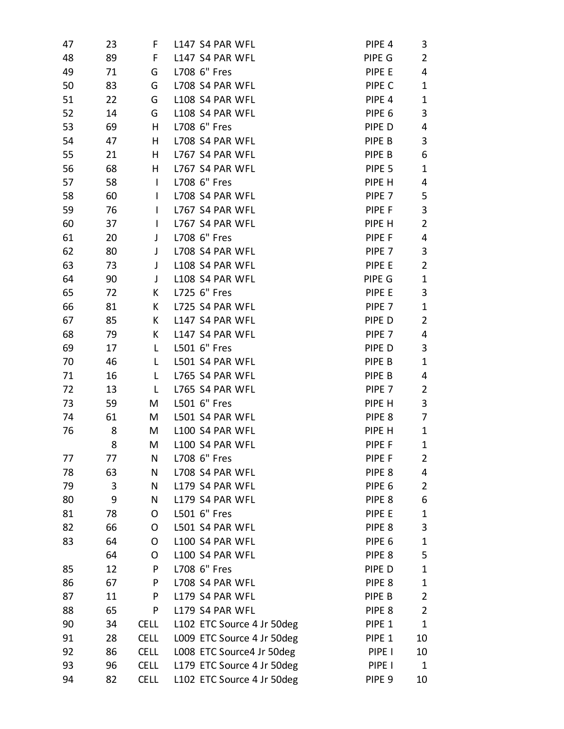| 47 | 23 | F            | L147 S4 PAR WFL            | PIPE <sub>4</sub> | 3              |
|----|----|--------------|----------------------------|-------------------|----------------|
| 48 | 89 | F.           | L147 S4 PAR WFL            | PIPE G            | $\overline{2}$ |
| 49 | 71 | G            | L708 6" Fres               | PIPE E            | 4              |
| 50 | 83 | G            | L708 S4 PAR WFL            | PIPE C            | 1              |
| 51 | 22 | G            | L108 S4 PAR WFL            | PIPE <sub>4</sub> | $\mathbf 1$    |
| 52 | 14 | G            | L108 S4 PAR WFL            | PIPE <sub>6</sub> | 3              |
| 53 | 69 | H            | L708 6" Fres               | PIPE D            | 4              |
| 54 | 47 | H            | L708 S4 PAR WFL            | PIPE B            | 3              |
| 55 | 21 | H.           | L767 S4 PAR WFL            | PIPE B            | 6              |
| 56 | 68 | H            | L767 S4 PAR WFL            | PIPE <sub>5</sub> | 1              |
| 57 | 58 | $\mathsf{I}$ | L708 6" Fres               | PIPE H            | 4              |
| 58 | 60 | $\mathbf{I}$ | L708 S4 PAR WFL            | PIPE <sub>7</sub> | 5              |
| 59 | 76 | $\mathbf{I}$ | L767 S4 PAR WFL            | PIPE F            | 3              |
| 60 | 37 | $\mathbf{I}$ | L767 S4 PAR WFL            | PIPE H            | $\overline{2}$ |
| 61 | 20 | J            | L708 6" Fres               | PIPE F            | 4              |
| 62 | 80 | J            | L708 S4 PAR WFL            | PIPE <sub>7</sub> | 3              |
| 63 | 73 | $\mathsf{J}$ | L108 S4 PAR WFL            | PIPE E            | $\overline{2}$ |
| 64 | 90 | J            | L108 S4 PAR WFL            | PIPE G            | $\mathbf{1}$   |
| 65 | 72 | K            | L725 6" Fres               | PIPE E            | 3              |
| 66 | 81 | K            | L725 S4 PAR WFL            | PIPE <sub>7</sub> | 1              |
| 67 | 85 | K            | L147 S4 PAR WFL            | PIPE D            | $\overline{2}$ |
| 68 | 79 | K            | L147 S4 PAR WFL            | PIPE 7            | 4              |
| 69 | 17 | $\mathsf{L}$ | L501 6" Fres               | PIPE D            | 3              |
| 70 | 46 | L            | L501 S4 PAR WFL            | PIPE B            | 1              |
| 71 | 16 | L            | L765 S4 PAR WFL            | PIPE B            | 4              |
| 72 | 13 | L            | L765 S4 PAR WFL            | PIPE 7            | $\overline{2}$ |
| 73 | 59 | M            | L501 6" Fres               | PIPE H            | 3              |
| 74 | 61 | M            | L501 S4 PAR WFL            | PIPE <sub>8</sub> | 7              |
| 76 | 8  | M            | L100 S4 PAR WFL            | PIPE H            | $\mathbf{1}$   |
|    | 8  | M            | L100 S4 PAR WFL            | PIPE F            | 1              |
| 77 | 77 | N            | L708 6" Fres               | PIPE F            | 2              |
| 78 | 63 | N            | L708 S4 PAR WFL            | PIPE <sub>8</sub> | 4              |
| 79 | 3  | N            | L179 S4 PAR WFL            | PIPE <sub>6</sub> | 2              |
| 80 | 9  | N            | L179 S4 PAR WFL            | PIPE <sub>8</sub> | 6              |
| 81 | 78 | O            | L501 6" Fres               | PIPE E            | 1              |
| 82 | 66 | O            | L501 S4 PAR WFL            | PIPE <sub>8</sub> | 3              |
| 83 | 64 | O            | L100 S4 PAR WFL            | PIPE <sub>6</sub> | 1              |
|    | 64 | O            | L100 S4 PAR WFL            | PIPE <sub>8</sub> | 5              |
| 85 | 12 | P            | L708 6" Fres               | PIPE D            | 1              |
| 86 | 67 | P            | L708 S4 PAR WFL            | PIPE 8            | 1              |
| 87 | 11 | P            | L179 S4 PAR WFL            | PIPE B            | $\overline{2}$ |
| 88 | 65 | P            | L179 S4 PAR WFL            | PIPE <sub>8</sub> | $\overline{2}$ |
| 90 | 34 | <b>CELL</b>  | L102 ETC Source 4 Jr 50deg | PIPE 1            | $\mathbf{1}$   |
| 91 | 28 | <b>CELL</b>  | L009 ETC Source 4 Jr 50deg | PIPE <sub>1</sub> | 10             |
| 92 | 86 | <b>CELL</b>  | LOO8 ETC Source4 Jr 50deg  | PIPE I            | 10             |
| 93 | 96 | <b>CELL</b>  | L179 ETC Source 4 Jr 50deg | PIPE I            | 1              |
| 94 | 82 | <b>CELL</b>  | L102 ETC Source 4 Jr 50deg | PIPE <sub>9</sub> | 10             |